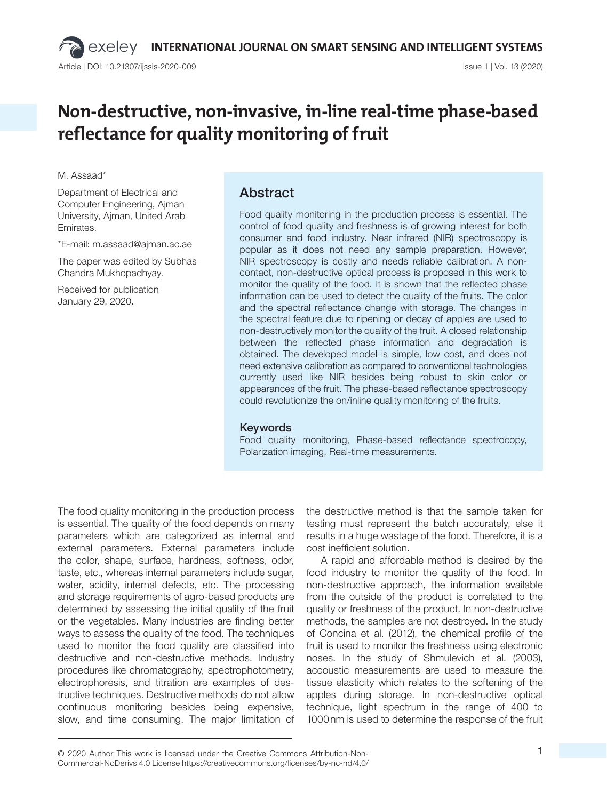# **Non-destructive, non-invasive, in-line real-time phase-based reflectance for quality monitoring of fruit**

#### M. Assaad\*

Department of Electrical and Computer Engineering, Ajman University, Ajman, United Arab Emirates.

\*E-mail: m.assaad@ajman.ac.ae

The paper was edited by Subhas Chandra Mukhopadhyay.

Received for publication January 29, 2020.

## Abstract

Food quality monitoring in the production process is essential. The control of food quality and freshness is of growing interest for both consumer and food industry. Near infrared (NIR) spectroscopy is popular as it does not need any sample preparation. However, NIR spectroscopy is costly and needs reliable calibration. A noncontact, non-destructive optical process is proposed in this work to monitor the quality of the food. It is shown that the reflected phase information can be used to detect the quality of the fruits. The color and the spectral reflectance change with storage. The changes in the spectral feature due to ripening or decay of apples are used to non-destructively monitor the quality of the fruit. A closed relationship between the reflected phase information and degradation is obtained. The developed model is simple, low cost, and does not need extensive calibration as compared to conventional technologies currently used like NIR besides being robust to skin color or appearances of the fruit. The phase-based reflectance spectroscopy could revolutionize the on/inline quality monitoring of the fruits.

#### Keywords

Food quality monitoring, Phase-based reflectance spectrocopy, Polarization imaging, Real-time measurements.

The food quality monitoring in the production process is essential. The quality of the food depends on many parameters which are categorized as internal and external parameters. External parameters include the color, shape, surface, hardness, softness, odor, taste, etc., whereas internal parameters include sugar, water, acidity, internal defects, etc. The processing and storage requirements of agro-based products are determined by assessing the initial quality of the fruit or the vegetables. Many industries are finding better ways to assess the quality of the food. The techniques used to monitor the food quality are classified into destructive and non-destructive methods. Industry procedures like chromatography, spectrophotometry, electrophoresis, and titration are examples of destructive techniques. Destructive methods do not allow continuous monitoring besides being expensive, slow, and time consuming. The major limitation of

the destructive method is that the sample taken for testing must represent the batch accurately, else it results in a huge wastage of the food. Therefore, it is a cost inefficient solution.

A rapid and affordable method is desired by the food industry to monitor the quality of the food. In non-destructive approach, the information available from the outside of the product is correlated to the quality or freshness of the product. In non-destructive methods, the samples are not destroyed. In the study of Concina et al. (2012), the chemical profile of the fruit is used to monitor the freshness using electronic noses. In the study of Shmulevich et al. (2003), accoustic measurements are used to measure the tissue elasticity which relates to the softening of the apples during storage. In non-destructive optical technique, light spectrum in the range of 400 to 1000 nm is used to determine the response of the fruit

© 2020 Author This work is licensed under the Creative Commons Attribution-Non- 1 Commercial-NoDerivs 4.0 License https://creativecommons.org/licenses/by-nc-nd/4.0/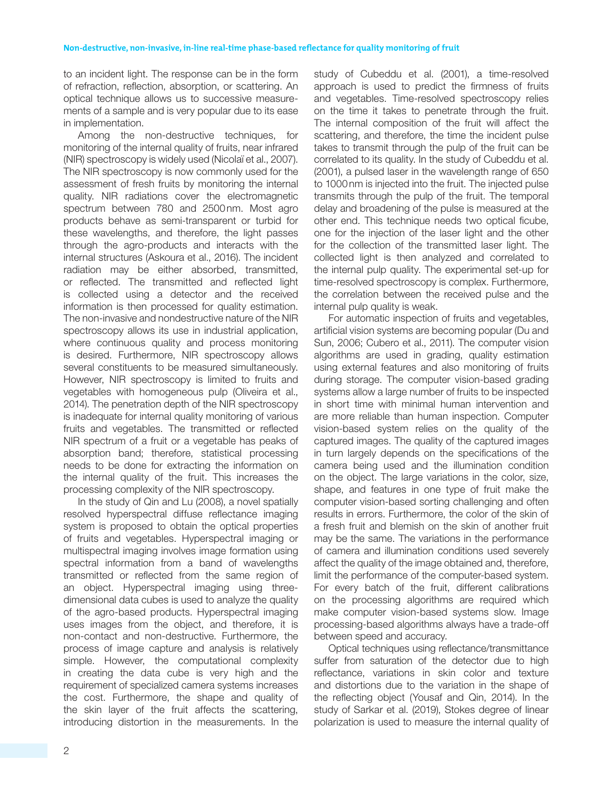to an incident light. The response can be in the form of refraction, reflection, absorption, or scattering. An optical technique allows us to successive measurements of a sample and is very popular due to its ease in implementation.

Among the non-destructive techniques, for monitoring of the internal quality of fruits, near infrared (NIR) spectroscopy is widely used (Nicolaï et al., 2007). The NIR spectroscopy is now commonly used for the assessment of fresh fruits by monitoring the internal quality. NIR radiations cover the electromagnetic spectrum between 780 and 2500 nm. Most agro products behave as semi-transparent or turbid for these wavelengths, and therefore, the light passes through the agro-products and interacts with the internal structures (Askoura et al., 2016). The incident radiation may be either absorbed, transmitted, or reflected. The transmitted and reflected light is collected using a detector and the received information is then processed for quality estimation. The non-invasive and nondestructive nature of the NIR spectroscopy allows its use in industrial application, where continuous quality and process monitoring is desired. Furthermore, NIR spectroscopy allows several constituents to be measured simultaneously. However, NIR spectroscopy is limited to fruits and vegetables with homogeneous pulp (Oliveira et al., 2014). The penetration depth of the NIR spectroscopy is inadequate for internal quality monitoring of various fruits and vegetables. The transmitted or reflected NIR spectrum of a fruit or a vegetable has peaks of absorption band; therefore, statistical processing needs to be done for extracting the information on the internal quality of the fruit. This increases the processing complexity of the NIR spectroscopy.

In the study of Qin and Lu (2008), a novel spatially resolved hyperspectral diffuse reflectance imaging system is proposed to obtain the optical properties of fruits and vegetables. Hyperspectral imaging or multispectral imaging involves image formation using spectral information from a band of wavelengths transmitted or reflected from the same region of an object. Hyperspectral imaging using threedimensional data cubes is used to analyze the quality of the agro-based products. Hyperspectral imaging uses images from the object, and therefore, it is non-contact and non-destructive. Furthermore, the process of image capture and analysis is relatively simple. However, the computational complexity in creating the data cube is very high and the requirement of specialized camera systems increases the cost. Furthermore, the shape and quality of the skin layer of the fruit affects the scattering, introducing distortion in the measurements. In the study of Cubeddu et al. (2001), a time-resolved approach is used to predict the firmness of fruits and vegetables. Time-resolved spectroscopy relies on the time it takes to penetrate through the fruit. The internal composition of the fruit will affect the scattering, and therefore, the time the incident pulse takes to transmit through the pulp of the fruit can be correlated to its quality. In the study of Cubeddu et al. (2001), a pulsed laser in the wavelength range of 650 to 1000 nm is injected into the fruit. The injected pulse transmits through the pulp of the fruit. The temporal delay and broadening of the pulse is measured at the other end. This technique needs two optical ficube, one for the injection of the laser light and the other for the collection of the transmitted laser light. The collected light is then analyzed and correlated to the internal pulp quality. The experimental set-up for time-resolved spectroscopy is complex. Furthermore, the correlation between the received pulse and the internal pulp quality is weak.

For automatic inspection of fruits and vegetables, artificial vision systems are becoming popular (Du and Sun, 2006; Cubero et al., 2011). The computer vision algorithms are used in grading, quality estimation using external features and also monitoring of fruits during storage. The computer vision-based grading systems allow a large number of fruits to be inspected in short time with minimal human intervention and are more reliable than human inspection. Computer vision-based system relies on the quality of the captured images. The quality of the captured images in turn largely depends on the specifications of the camera being used and the illumination condition on the object. The large variations in the color, size, shape, and features in one type of fruit make the computer vision-based sorting challenging and often results in errors. Furthermore, the color of the skin of a fresh fruit and blemish on the skin of another fruit may be the same. The variations in the performance of camera and illumination conditions used severely affect the quality of the image obtained and, therefore, limit the performance of the computer-based system. For every batch of the fruit, different calibrations on the processing algorithms are required which make computer vision-based systems slow. Image processing-based algorithms always have a trade-off between speed and accuracy.

Optical techniques using reflectance/transmittance suffer from saturation of the detector due to high reflectance, variations in skin color and texture and distortions due to the variation in the shape of the reflecting object (Yousaf and Qin, 2014). In the study of Sarkar et al. (2019), Stokes degree of linear polarization is used to measure the internal quality of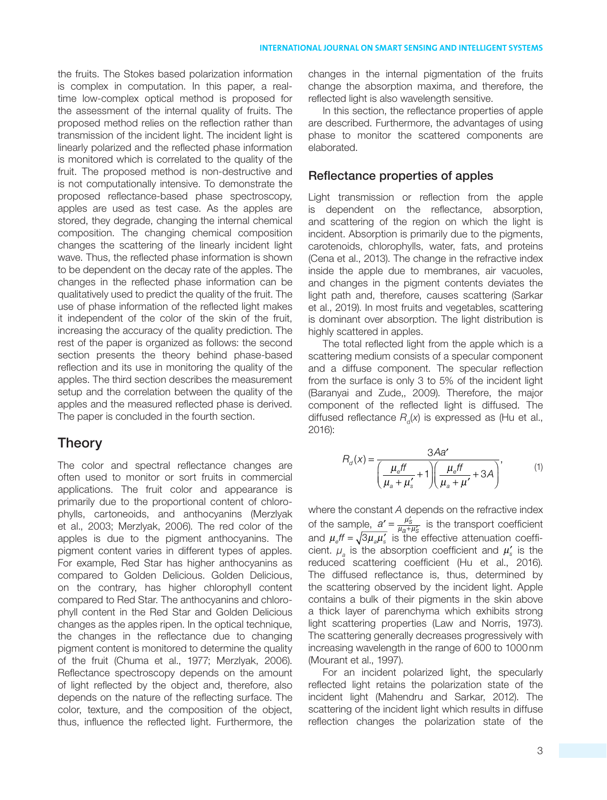the fruits. The Stokes based polarization information is complex in computation. In this paper, a realtime low-complex optical method is proposed for the assessment of the internal quality of fruits. The proposed method relies on the reflection rather than transmission of the incident light. The incident light is linearly polarized and the reflected phase information is monitored which is correlated to the quality of the fruit. The proposed method is non-destructive and is not computationally intensive. To demonstrate the proposed reflectance-based phase spectroscopy, apples are used as test case. As the apples are stored, they degrade, changing the internal chemical composition. The changing chemical composition changes the scattering of the linearly incident light wave. Thus, the reflected phase information is shown to be dependent on the decay rate of the apples. The changes in the reflected phase information can be qualitatively used to predict the quality of the fruit. The use of phase information of the reflected light makes it independent of the color of the skin of the fruit, increasing the accuracy of the quality prediction. The rest of the paper is organized as follows: the second section presents the theory behind phase-based reflection and its use in monitoring the quality of the apples. The third section describes the measurement setup and the correlation between the quality of the apples and the measured reflected phase is derived. The paper is concluded in the fourth section.

## Theory

The color and spectral reflectance changes are often used to monitor or sort fruits in commercial applications. The fruit color and appearance is primarily due to the proportional content of chlorophylls, cartoneoids, and anthocyanins (Merzlyak et al., 2003; Merzlyak, 2006). The red color of the apples is due to the pigment anthocyanins. The pigment content varies in different types of apples. For example, Red Star has higher anthocyanins as compared to Golden Delicious. Golden Delicious, on the contrary, has higher chlorophyll content compared to Red Star. The anthocyanins and chlorophyll content in the Red Star and Golden Delicious changes as the apples ripen. In the optical technique, the changes in the reflectance due to changing pigment content is monitored to determine the quality of the fruit (Chuma et al., 1977; Merzlyak, 2006). Reflectance spectroscopy depends on the amount of light reflected by the object and, therefore, also depends on the nature of the reflecting surface. The color, texture, and the composition of the object, thus, influence the reflected light. Furthermore, the changes in the internal pigmentation of the fruits change the absorption maxima, and therefore, the reflected light is also wavelength sensitive.

In this section, the reflectance properties of apple are described. Furthermore, the advantages of using phase to monitor the scattered components are elaborated.

#### Reflectance properties of apples

Light transmission or reflection from the apple is dependent on the reflectance, absorption, and scattering of the region on which the light is incident. Absorption is primarily due to the pigments, carotenoids, chlorophylls, water, fats, and proteins (Cena et al., 2013). The change in the refractive index inside the apple due to membranes, air vacuoles, and changes in the pigment contents deviates the light path and, therefore, causes scattering (Sarkar et al., 2019). In most fruits and vegetables, scattering is dominant over absorption. The light distribution is highly scattered in apples.

The total reflected light from the apple which is a scattering medium consists of a specular component and a diffuse component. The specular reflection from the surface is only 3 to 5% of the incident light (Baranyai and Zude,, 2009). Therefore, the major component of the reflected light is diffused. The diffused reflectance  $R$ <sub>d</sub>(x) is expressed as (Hu et al., 2016):

$$
R_d(x) = \frac{3Aa'}{\left(\frac{\mu_e ff}{\mu_a + \mu'_s} + 1\right)\left(\frac{\mu_e ff}{\mu_a + \mu'} + 3A\right)},\tag{1}
$$

where the constant A depends on the refractive index of the sample,  $a' = \frac{\mu_3}{\mu_1 + \mu_2}$  $\underline{a'} = \frac{\mu'_{\rm S}}{\mu_{\rm S} + \mu'_{\rm S}}$  $a + \mu_S'$ *m*  $\frac{\mu_{\rm S}}{\mu_{\rm a}+\mu_{\rm S}'}$  is the transport coefficient and  $\mu_e f = \sqrt{3\mu_a\mu_s}$  is the effective attenuation coefficient.  $\mu_{a}$  is the absorption coefficient and  $\mu'_{s}$  is the reduced scattering coefficient (Hu et al., 2016). The diffused reflectance is, thus, determined by the scattering observed by the incident light. Apple contains a bulk of their pigments in the skin above a thick layer of parenchyma which exhibits strong light scattering properties (Law and Norris, 1973). The scattering generally decreases progressively with increasing wavelength in the range of 600 to 1000 nm (Mourant et al., 1997).

For an incident polarized light, the specularly reflected light retains the polarization state of the incident light (Mahendru and Sarkar, 2012). The scattering of the incident light which results in diffuse reflection changes the polarization state of the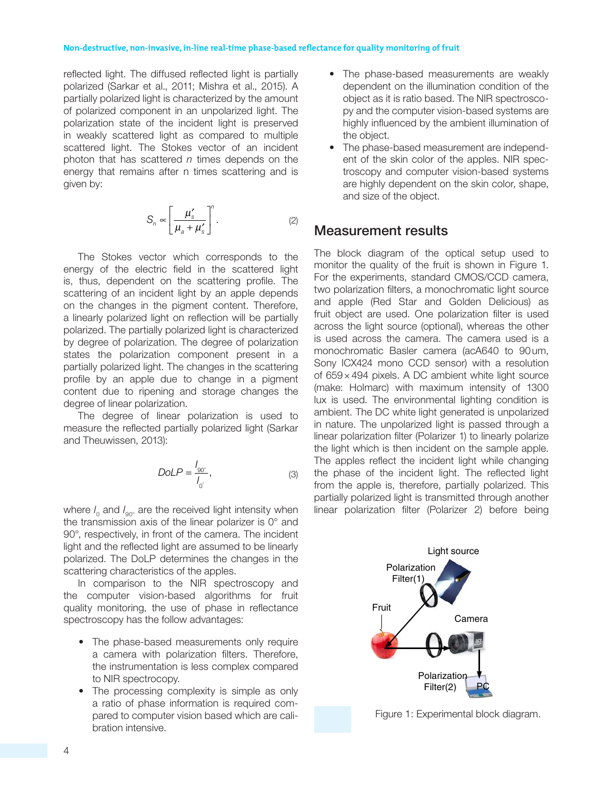reflected light. The diffused reflected light is partially polarized (Sarkar et al., 2011; Mishra et al., 2015). A partially polarized light is characterized by the amount of polarized component in an unpolarized light. The polarization state of the incident light is preserved in weakly scattered light as compared to multiple scattered light. The Stokes vector of an incident photon that has scattered  $n$  times depends on the energy that remains after n times scattering and is given by:

$$
S_n \propto \left[\frac{\mu_s'}{\mu_a + \mu_s'}\right]^n.
$$
 (2)

The Stokes vector which corresponds to the energy of the electric field in the scattered light is, thus, dependent on the scattering profile. The scattering of an incident light by an apple depends on the changes in the pigment content. Therefore, a linearly polarized light on reflection will be partially polarized. The partially polarized light is characterized by degree of polarization. The degree of polarization states the polarization component present in a partially polarized light. The changes in the scattering profile by an apple due to change in a pigment content due to ripening and storage changes the degree of linear polarization.

The degree of linear polarization is used to measure the reflected partially polarized light (Sarkar and Theuwissen, 2013):

$$
DolP = \frac{I_{90^{\circ}}}{I_{0^{\circ}}},\tag{3}
$$

where  $I_{\text{o}}$  and  $I_{\text{go}}$  are the received light intensity when the transmission axis of the linear polarizer is 0° and 90°, respectively, in front of the camera. The incident light and the reflected light are assumed to be linearly polarized. The DoLP determines the changes in the scattering characteristics of the apples.

In comparison to the NIR spectroscopy and the computer vision-based algorithms for fruit quality monitoring, the use of phase in reflectance spectroscopy has the follow advantages:

- The phase-based measurements only require a camera with polarization filters. Therefore, the instrumentation is less complex compared to NIR spectrocopy.
- The processing complexity is simple as only a ratio of phase information is required compared to computer vision based which are calibration intensive.
- The phase-based measurements are weakly dependent on the illumination condition of the object as it is ratio based. The NIR spectroscopy and the computer vision-based systems are highly influenced by the ambient illumination of the object.
- The phase-based measurement are independent of the skin color of the apples. NIR spectroscopy and computer vision-based systems are highly dependent on the skin color, shape, and size of the object.

## Measurement results

The block diagram of the optical setup used to monitor the quality of the fruit is shown in Figure 1. For the experiments, standard CMOS/CCD camera, two polarization filters, a monochromatic light source and apple (Red Star and Golden Delicious) as fruit object are used. One polarization filter is used across the light source (optional), whereas the other is used across the camera. The camera used is a monochromatic Basler camera (acA640 to 90 um, Sony ICX424 mono CCD sensor) with a resolution of 659 × 494 pixels. A DC ambient white light source (make: Holmarc) with maximum intensity of 1300 lux is used. The environmental lighting condition is ambient. The DC white light generated is unpolarized in nature. The unpolarized light is passed through a linear polarization filter (Polarizer 1) to linearly polarize the light which is then incident on the sample apple. The apples reflect the incident light while changing the phase of the incident light. The reflected light from the apple is, therefore, partially polarized. This partially polarized light is transmitted through another linear polarization filter (Polarizer 2) before being



Figure 1: Experimental block diagram.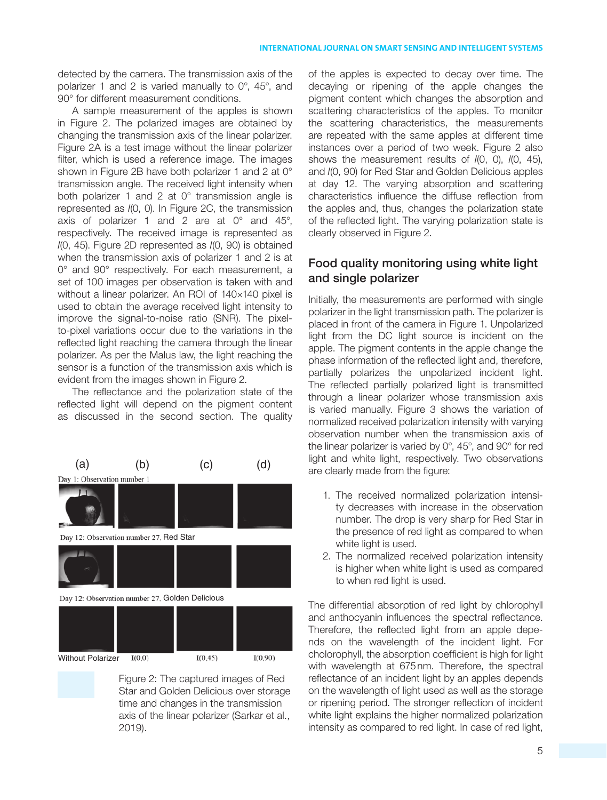detected by the camera. The transmission axis of the polarizer 1 and 2 is varied manually to 0°, 45°, and 90° for different measurement conditions.

A sample measurement of the apples is shown in Figure 2. The polarized images are obtained by changing the transmission axis of the linear polarizer. Figure 2A is a test image without the linear polarizer filter, which is used a reference image. The images shown in Figure 2B have both polarizer 1 and 2 at 0° transmission angle. The received light intensity when both polarizer 1 and 2 at 0° transmission angle is represented as I(0, 0). In Figure 2C, the transmission axis of polarizer 1 and 2 are at 0° and 45°, respectively. The received image is represented as I(0, 45). Figure 2D represented as I(0, 90) is obtained when the transmission axis of polarizer 1 and 2 is at 0° and 90° respectively. For each measurement, a set of 100 images per observation is taken with and without a linear polarizer. An ROI of 140×140 pixel is used to obtain the average received light intensity to improve the signal-to-noise ratio (SNR). The pixelto-pixel variations occur due to the variations in the reflected light reaching the camera through the linear polarizer. As per the Malus law, the light reaching the sensor is a function of the transmission axis which is evident from the images shown in Figure 2.

The reflectance and the polarization state of the reflected light will depend on the pigment content as discussed in the second section. The quality



Figure 2: The captured images of Red Star and Golden Delicious over storage time and changes in the transmission axis of the linear polarizer (Sarkar et al., 2019).

of the apples is expected to decay over time. The decaying or ripening of the apple changes the pigment content which changes the absorption and scattering characteristics of the apples. To monitor the scattering characteristics, the measurements are repeated with the same apples at different time instances over a period of two week. Figure 2 also shows the measurement results of I(0, 0), I(0, 45), and I(0, 90) for Red Star and Golden Delicious apples at day 12. The varying absorption and scattering characteristics influence the diffuse reflection from the apples and, thus, changes the polarization state of the reflected light. The varying polarization state is clearly observed in Figure 2.

## Food quality monitoring using white light and single polarizer

Initially, the measurements are performed with single polarizer in the light transmission path. The polarizer is placed in front of the camera in Figure 1. Unpolarized light from the DC light source is incident on the apple. The pigment contents in the apple change the phase information of the reflected light and, therefore, partially polarizes the unpolarized incident light. The reflected partially polarized light is transmitted through a linear polarizer whose transmission axis is varied manually. Figure 3 shows the variation of normalized received polarization intensity with varying observation number when the transmission axis of the linear polarizer is varied by 0°, 45°, and 90° for red light and white light, respectively. Two observations are clearly made from the figure:

- 1. The received normalized polarization intensity decreases with increase in the observation number. The drop is very sharp for Red Star in the presence of red light as compared to when white light is used.
- 2. The normalized received polarization intensity is higher when white light is used as compared to when red light is used.

The differential absorption of red light by chlorophyll and anthocyanin influences the spectral reflectance. Therefore, the reflected light from an apple depends on the wavelength of the incident light. For cholorophyll, the absorption coefficient is high for light with wavelength at 675 nm. Therefore, the spectral reflectance of an incident light by an apples depends on the wavelength of light used as well as the storage or ripening period. The stronger reflection of incident white light explains the higher normalized polarization intensity as compared to red light. In case of red light,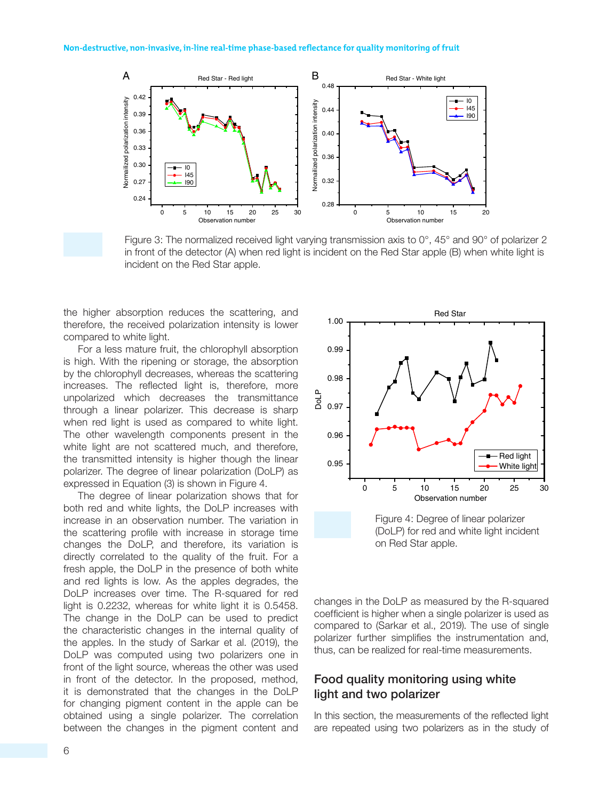

Figure 3: The normalized received light varying transmission axis to 0°, 45° and 90° of polarizer 2 in front of the detector (A) when red light is incident on the Red Star apple (B) when white light is incident on the Red Star apple.

the higher absorption reduces the scattering, and therefore, the received polarization intensity is lower compared to white light.

For a less mature fruit, the chlorophyll absorption is high. With the ripening or storage, the absorption by the chlorophyll decreases, whereas the scattering increases. The reflected light is, therefore, more unpolarized which decreases the transmittance through a linear polarizer. This decrease is sharp when red light is used as compared to white light. The other wavelength components present in the white light are not scattered much, and therefore, the transmitted intensity is higher though the linear polarizer. The degree of linear polarization (DoLP) as expressed in Equation (3) is shown in Figure 4.

The degree of linear polarization shows that for both red and white lights, the DoLP increases with increase in an observation number. The variation in the scattering profile with increase in storage time changes the DoLP, and therefore, its variation is directly correlated to the quality of the fruit. For a fresh apple, the DoLP in the presence of both white and red lights is low. As the apples degrades, the DoLP increases over time. The R-squared for red light is 0.2232, whereas for white light it is 0.5458. The change in the DoLP can be used to predict the characteristic changes in the internal quality of the apples. In the study of Sarkar et al. (2019), the DoLP was computed using two polarizers one in front of the light source, whereas the other was used in front of the detector. In the proposed, method, it is demonstrated that the changes in the DoLP for changing pigment content in the apple can be obtained using a single polarizer. The correlation between the changes in the pigment content and



Figure 4: Degree of linear polarizer (DoLP) for red and white light incident on Red Star apple.

changes in the DoLP as measured by the R-squared coefficient is higher when a single polarizer is used as compared to (Sarkar et al., 2019). The use of single polarizer further simplifies the instrumentation and, thus, can be realized for real-time measurements.

### Food quality monitoring using white light and two polarizer

In this section, the measurements of the reflected light are repeated using two polarizers as in the study of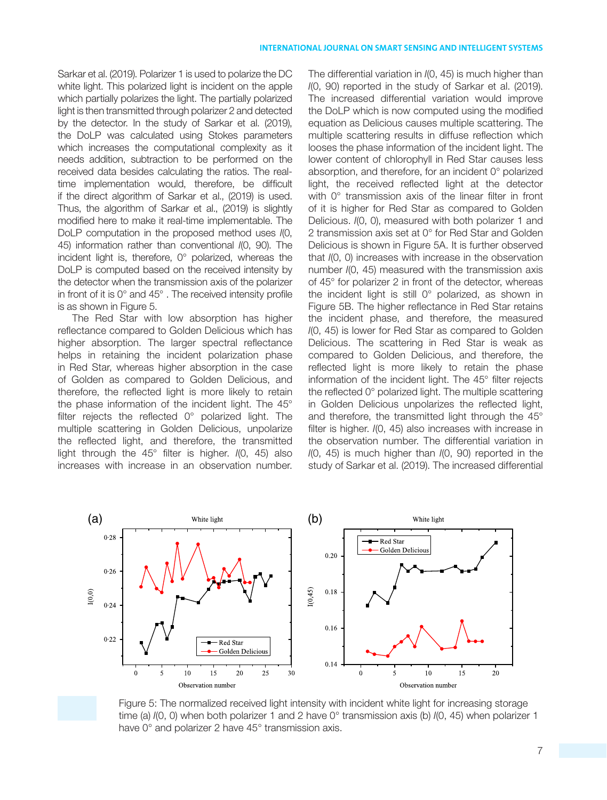Sarkar et al. (2019). Polarizer 1 is used to polarize the DC white light. This polarized light is incident on the apple which partially polarizes the light. The partially polarized light is then transmitted through polarizer 2 and detected by the detector. In the study of Sarkar et al. (2019), the DoLP was calculated using Stokes parameters which increases the computational complexity as it needs addition, subtraction to be performed on the received data besides calculating the ratios. The realtime implementation would, therefore, be difficult if the direct algorithm of Sarkar et al., (2019) is used. Thus, the algorithm of Sarkar et al., (2019) is slightly modified here to make it real-time implementable. The DoLP computation in the proposed method uses I(0, 45) information rather than conventional I(0, 90). The incident light is, therefore, 0° polarized, whereas the DoLP is computed based on the received intensity by the detector when the transmission axis of the polarizer in front of it is 0° and 45° . The received intensity profile is as shown in Figure 5.

The Red Star with low absorption has higher reflectance compared to Golden Delicious which has higher absorption. The larger spectral reflectance helps in retaining the incident polarization phase in Red Star, whereas higher absorption in the case of Golden as compared to Golden Delicious, and therefore, the reflected light is more likely to retain the phase information of the incident light. The 45° filter rejects the reflected 0° polarized light. The multiple scattering in Golden Delicious, unpolarize the reflected light, and therefore, the transmitted light through the  $45^{\circ}$  filter is higher.  $I(0, 45)$  also increases with increase in an observation number. The differential variation in I(0, 45) is much higher than I(0, 90) reported in the study of Sarkar et al. (2019). The increased differential variation would improve the DoLP which is now computed using the modified equation as Delicious causes multiple scattering. The multiple scattering results in diffuse reflection which looses the phase information of the incident light. The lower content of chlorophyll in Red Star causes less absorption, and therefore, for an incident 0° polarized light, the received reflected light at the detector with 0° transmission axis of the linear filter in front of it is higher for Red Star as compared to Golden Delicious. I(0, 0), measured with both polarizer 1 and 2 transmission axis set at 0° for Red Star and Golden Delicious is shown in Figure 5A. It is further observed that I(0, 0) increases with increase in the observation number I(0, 45) measured with the transmission axis of 45° for polarizer 2 in front of the detector, whereas the incident light is still 0° polarized, as shown in Figure 5B. The higher reflectance in Red Star retains the incident phase, and therefore, the measured I(0, 45) is lower for Red Star as compared to Golden Delicious. The scattering in Red Star is weak as compared to Golden Delicious, and therefore, the reflected light is more likely to retain the phase information of the incident light. The 45° filter rejects the reflected 0° polarized light. The multiple scattering in Golden Delicious unpolarizes the reflected light, and therefore, the transmitted light through the 45° filter is higher. I(0, 45) also increases with increase in the observation number. The differential variation in  $I(0, 45)$  is much higher than  $I(0, 90)$  reported in the study of Sarkar et al. (2019). The increased differential



Figure 5: The normalized received light intensity with incident white light for increasing storage time (a)  $I(0, 0)$  when both polarizer 1 and 2 have 0° transmission axis (b)  $I(0, 45)$  when polarizer 1 have 0° and polarizer 2 have 45° transmission axis.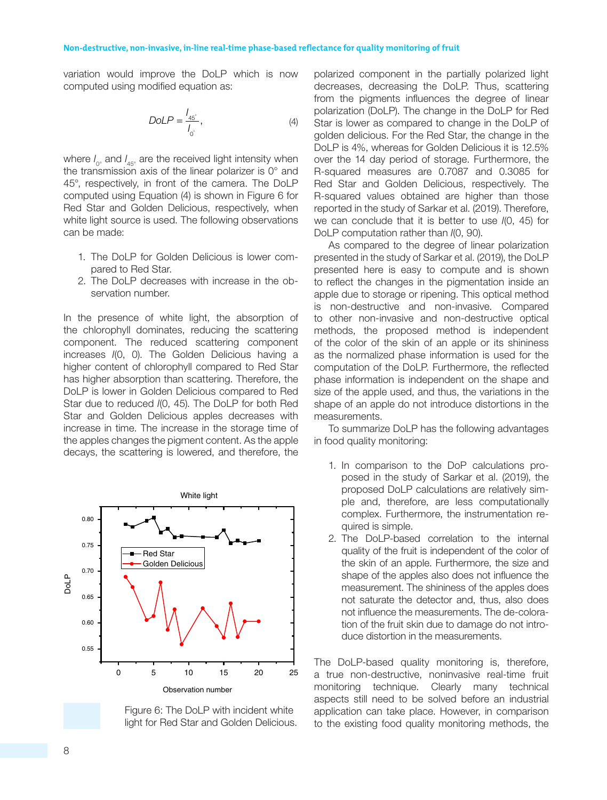variation would improve the DoLP which is now computed using modified equation as:

$$
DolP = \frac{I_{45^\circ}}{I_0^\circ},\tag{4}
$$

where  $I_{0^\circ}$  and  $I_{45^\circ}$  are the received light intensity when the transmission axis of the linear polarizer is 0° and 45°, respectively, in front of the camera. The DoLP computed using Equation (4) is shown in Figure 6 for Red Star and Golden Delicious, respectively, when white light source is used. The following observations can be made:

- 1. The DoLP for Golden Delicious is lower compared to Red Star.
- 2. The DoLP decreases with increase in the observation number.

In the presence of white light, the absorption of the chlorophyll dominates, reducing the scattering component. The reduced scattering component increases I(0, 0). The Golden Delicious having a higher content of chlorophyll compared to Red Star has higher absorption than scattering. Therefore, the DoLP is lower in Golden Delicious compared to Red Star due to reduced I(0, 45). The DoLP for both Red Star and Golden Delicious apples decreases with increase in time. The increase in the storage time of the apples changes the pigment content. As the apple decays, the scattering is lowered, and therefore, the



Figure 6: The DoLP with incident white light for Red Star and Golden Delicious.

polarized component in the partially polarized light decreases, decreasing the DoLP. Thus, scattering from the pigments influences the degree of linear polarization (DoLP). The change in the DoLP for Red Star is lower as compared to change in the DoLP of golden delicious. For the Red Star, the change in the DoLP is 4%, whereas for Golden Delicious it is 12.5% over the 14 day period of storage. Furthermore, the R-squared measures are 0.7087 and 0.3085 for Red Star and Golden Delicious, respectively. The R-squared values obtained are higher than those reported in the study of Sarkar et al. (2019). Therefore, we can conclude that it is better to use I(0, 45) for DoLP computation rather than  $I(0, 90)$ .

As compared to the degree of linear polarization presented in the study of Sarkar et al. (2019), the DoLP presented here is easy to compute and is shown to reflect the changes in the pigmentation inside an apple due to storage or ripening. This optical method is non-destructive and non-invasive. Compared to other non-invasive and non-destructive optical methods, the proposed method is independent of the color of the skin of an apple or its shininess as the normalized phase information is used for the computation of the DoLP. Furthermore, the reflected phase information is independent on the shape and size of the apple used, and thus, the variations in the shape of an apple do not introduce distortions in the measurements.

To summarize DoLP has the following advantages in food quality monitoring:

- 1. In comparison to the DoP calculations proposed in the study of Sarkar et al. (2019), the proposed DoLP calculations are relatively simple and, therefore, are less computationally complex. Furthermore, the instrumentation required is simple.
- 2. The DoLP-based correlation to the internal quality of the fruit is independent of the color of the skin of an apple. Furthermore, the size and shape of the apples also does not influence the measurement. The shininess of the apples does not saturate the detector and, thus, also does not influence the measurements. The de-coloration of the fruit skin due to damage do not introduce distortion in the measurements.

The DoLP-based quality monitoring is, therefore, a true non-destructive, noninvasive real-time fruit monitoring technique. Clearly many technical aspects still need to be solved before an industrial application can take place. However, in comparison to the existing food quality monitoring methods, the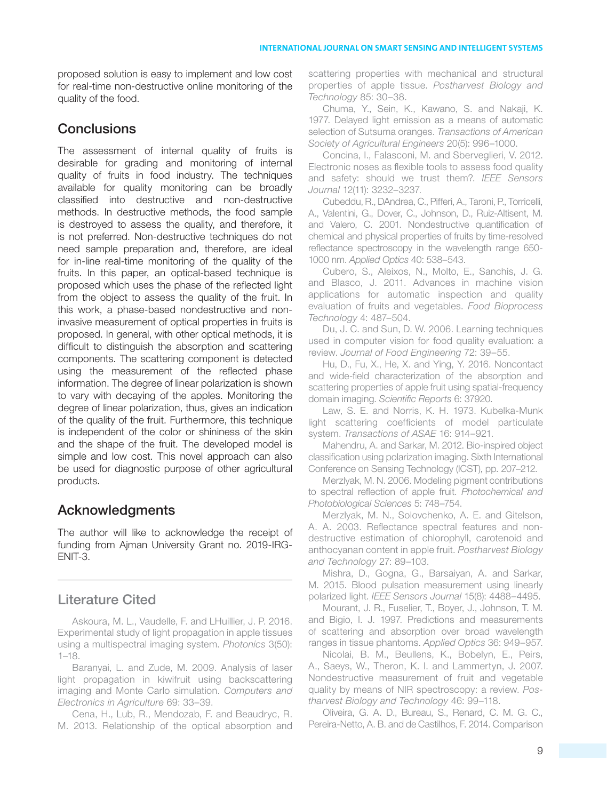proposed solution is easy to implement and low cost for real-time non-destructive online monitoring of the quality of the food.

# **Conclusions**

The assessment of internal quality of fruits is desirable for grading and monitoring of internal quality of fruits in food industry. The techniques available for quality monitoring can be broadly classified into destructive and non-destructive methods. In destructive methods, the food sample is destroyed to assess the quality, and therefore, it is not preferred. Non-destructive techniques do not need sample preparation and, therefore, are ideal for in-line real-time monitoring of the quality of the fruits. In this paper, an optical-based technique is proposed which uses the phase of the reflected light from the object to assess the quality of the fruit. In this work, a phase-based nondestructive and noninvasive measurement of optical properties in fruits is proposed. In general, with other optical methods, it is difficult to distinguish the absorption and scattering components. The scattering component is detected using the measurement of the reflected phase information. The degree of linear polarization is shown to vary with decaying of the apples. Monitoring the degree of linear polarization, thus, gives an indication of the quality of the fruit. Furthermore, this technique is independent of the color or shininess of the skin and the shape of the fruit. The developed model is simple and low cost. This novel approach can also be used for diagnostic purpose of other agricultural products.

# Acknowledgments

The author will like to acknowledge the receipt of funding from Ajman University Grant no. 2019-IRG-ENIT-3.

## Literature Cited

Askoura, M. L., Vaudelle, F. and LHuillier, J. P. 2016. Experimental study of light propagation in apple tissues using a multispectral imaging system. Photonics 3(50): 1–18.

Baranyai, L. and Zude, M. 2009. Analysis of laser light propagation in kiwifruit using backscattering imaging and Monte Carlo simulation. Computers and Electronics in Agriculture 69: 33–39.

Cena, H., Lub, R., Mendozab, F. and Beaudryc, R. M. 2013. Relationship of the optical absorption and scattering properties with mechanical and structural properties of apple tissue. Postharvest Biology and Technology 85: 30–38.

Chuma, Y., Sein, K., Kawano, S. and Nakaji, K. 1977. Delayed light emission as a means of automatic selection of Sutsuma oranges. Transactions of American Society of Agricultural Engineers 20(5): 996–1000.

Concina, I., Falasconi, M. and Sberveglieri, V. 2012. Electronic noses as flexible tools to assess food quality and safety: should we trust them?. IEEE Sensors Journal 12(11): 3232–3237.

Cubeddu, R., DAndrea, C., Pifferi, A., Taroni, P., Torricelli, A., Valentini, G., Dover, C., Johnson, D., Ruiz-Altisent, M. and Valero, C. 2001. Nondestructive quantification of chemical and physical properties of fruits by time-resolved reflectance spectroscopy in the wavelength range 650- 1000 nm. Applied Optics 40: 538–543.

Cubero, S., Aleixos, N., Molto, E., Sanchis, J. G. and Blasco, J. 2011. Advances in machine vision applications for automatic inspection and quality evaluation of fruits and vegetables. Food Bioprocess Technology 4: 487–504.

Du, J. C. and Sun, D. W. 2006. Learning techniques used in computer vision for food quality evaluation: a review. Journal of Food Engineering 72: 39–55.

Hu, D., Fu, X., He, X. and Ying, Y. 2016. Noncontact and wide-field characterization of the absorption and scattering properties of apple fruit using spatial-frequency domain imaging. Scientific Reports 6: 37920.

Law, S. E. and Norris, K. H. 1973. Kubelka-Munk light scattering coefficients of model particulate system. Transactions of ASAE 16: 914–921.

Mahendru, A. and Sarkar, M. 2012. Bio-inspired object classification using polarization imaging. Sixth International Conference on Sensing Technology (ICST), pp. 207–212.

Merzlyak, M. N. 2006. Modeling pigment contributions to spectral reflection of apple fruit. Photochemical and Photobiological Sciences 5: 748–754.

Merzlyak, M. N., Solovchenko, A. E. and Gitelson, A. A. 2003. Reflectance spectral features and nondestructive estimation of chlorophyll, carotenoid and anthocyanan content in apple fruit. Postharvest Biology and Technology 27: 89–103.

Mishra, D., Gogna, G., Barsaiyan, A. and Sarkar, M. 2015. Blood pulsation measurement using linearly polarized light. IEEE Sensors Journal 15(8): 4488–4495.

Mourant, J. R., Fuselier, T., Boyer, J., Johnson, T. M. and Bigio, I. J. 1997. Predictions and measurements of scattering and absorption over broad wavelength ranges in tissue phantoms. Applied Optics 36: 949–957.

Nicolai, B. M., Beullens, K., Bobelyn, E., Peirs, A., Saeys, W., Theron, K. I. and Lammertyn, J. 2007. Nondestructive measurement of fruit and vegetable quality by means of NIR spectroscopy: a review. Postharvest Biology and Technology 46: 99–118.

Oliveira, G. A. D., Bureau, S., Renard, C. M. G. C., Pereira-Netto, A. B. and de Castilhos, F. 2014. Comparison